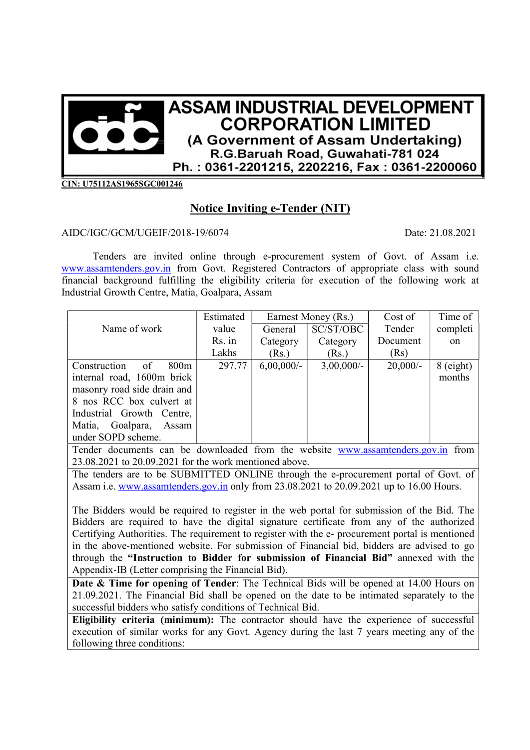

CIN: U75112AS1965SGC001246

## Notice Inviting e-Tender (NIT)

## AIDC/IGC/GCM/UGEIF/2018-19/6074 Date: 21.08.2021

Tenders are invited online through e-procurement system of Govt. of Assam i.e. www.assamtenders.gov.in from Govt. Registered Contractors of appropriate class with sound financial background fulfilling the eligibility criteria for execution of the following work at Industrial Growth Centre, Matia, Goalpara, Assam

| Estimated | Earnest Money (Rs.)                                                                                                                             |                      | Cost of    | Time of       |
|-----------|-------------------------------------------------------------------------------------------------------------------------------------------------|----------------------|------------|---------------|
| value     | General                                                                                                                                         | SC/ST/OBC            | Tender     | completi      |
| Rs. in    | Category                                                                                                                                        | Category             | Document   | <sub>on</sub> |
| Lakhs     | (Rs.)                                                                                                                                           | (Rs.)                | (Rs)       |               |
| 297.77    | $6,00,000/$ -                                                                                                                                   | $3,00,000/$ -        | $20,000/-$ | $8$ (eight)   |
|           |                                                                                                                                                 |                      |            | months        |
|           |                                                                                                                                                 |                      |            |               |
|           |                                                                                                                                                 |                      |            |               |
|           |                                                                                                                                                 |                      |            |               |
|           |                                                                                                                                                 |                      |            |               |
|           |                                                                                                                                                 |                      |            |               |
|           | 800 <sub>m</sub><br>internal road, 1600m brick<br>masonry road side drain and<br>8 nos RCC box culvert at<br>Industrial Growth Centre,<br>Assam | $\sim$ $\sim$ $\sim$ |            |               |

Tender documents can be downloaded from the website www.assamtenders.gov.in from 23.08.2021 to 20.09.2021 for the work mentioned above.

The tenders are to be SUBMITTED ONLINE through the e-procurement portal of Govt. of Assam i.e. www.assamtenders.gov.in only from 23.08.2021 to 20.09.2021 up to 16.00 Hours.

The Bidders would be required to register in the web portal for submission of the Bid. The Bidders are required to have the digital signature certificate from any of the authorized Certifying Authorities. The requirement to register with the e- procurement portal is mentioned in the above-mentioned website. For submission of Financial bid, bidders are advised to go through the "Instruction to Bidder for submission of Financial Bid" annexed with the Appendix-IB (Letter comprising the Financial Bid).

Date & Time for opening of Tender: The Technical Bids will be opened at 14.00 Hours on 21.09.2021. The Financial Bid shall be opened on the date to be intimated separately to the successful bidders who satisfy conditions of Technical Bid.

Eligibility criteria (minimum): The contractor should have the experience of successful execution of similar works for any Govt. Agency during the last 7 years meeting any of the following three conditions: